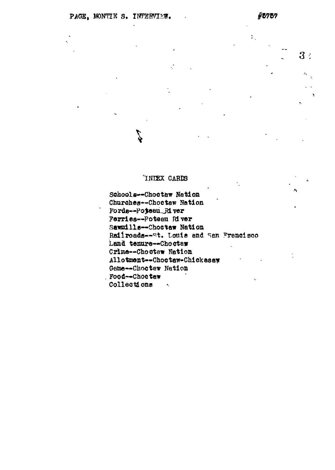$3:$ 

 $\Sigma_{\rm L}$ 

### INDEX CARDS

đ

Schools--Choctaw Nation Churches--Choetaw Nation Fords-Poteau River Ferries--Poteau River Sawmills--Chostaw Nation Railroads--st. Louis and San Francisco Land tenure--Choctaw Crime--Choctaw Nation Allotment--Choctaw-Chickasaw Game -- Choctew Nation Food--Choctew Collections x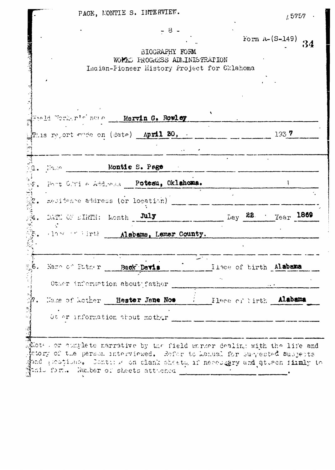|                                                       | $1.5757$ .                              |
|-------------------------------------------------------|-----------------------------------------|
| $-8-$                                                 |                                         |
|                                                       | Form $A - (S-149)$<br>34                |
| BIOGRAPHY FORM<br>WOPIES PROGRESS ADMINISTRATION      |                                         |
| Indian-Pioneer History Project for Cklahoma           |                                         |
|                                                       |                                         |
|                                                       |                                         |
|                                                       |                                         |
| Field Worker's near Marvin G. Rowley                  |                                         |
|                                                       |                                         |
| $\texttt{Pr}_{115}$ report mode on (date) April 30, . | 1337                                    |
|                                                       |                                         |
|                                                       |                                         |
| Montie S. Page<br>$1.$ Maps $1.$                      |                                         |
| Post Chile Address Potesu, Oklahoma.                  |                                         |
|                                                       |                                         |
| nesidence address (or location)                       |                                         |
| DATE OF EIRTH: Lonth July                             | $L_{\rm{Bay}}$ 22. $L_{\rm{Year}}$ 1869 |
| Hander Hirth Alabems, Lemar County.                   |                                         |
|                                                       |                                         |
|                                                       |                                         |
| း հ<br>Name of Futner<br>Buck Davis                   | Ilsce of birth Alabama                  |
|                                                       |                                         |
|                                                       |                                         |
| Other information about father                        |                                         |
|                                                       |                                         |
| Neme of Mother Hester Jane Nos                        | Flace of tirth Alabama                  |
| Ot er information about mother                        |                                         |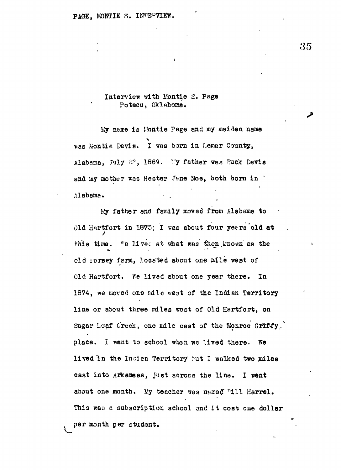## Interview with Ifontie S. Pege Potesu, Oklahoma.

My name is Montie Page and my msiden name was Montie Davis. I was born in Lemar County, Alabama, July 22, 1869. : Y father was Buck Davis and my mother was Hester Jane Noe, both born in Alabama.

Ky father and family moved from Alabama to Old Hartfort in  $1873$ : I was about four yeers old at this time. "e lives at what was then known as the old forsey farm, located about one mile west of Old Hartfort, Fe lived about one year there. In 1874, we moved one mile vest of the Indian Territory line or about three miles west of Old Hartfort, on Sugar Loaf Creek, one mile east of the Monroe Griffy. place. I went to school when we lived there. We lived in the Incien Territory but I walked two miles east into Arkansas, just across the line. I went about one month. My teacher was named "ill Harrel. This was a subscription school and it coat one dollar per month per student.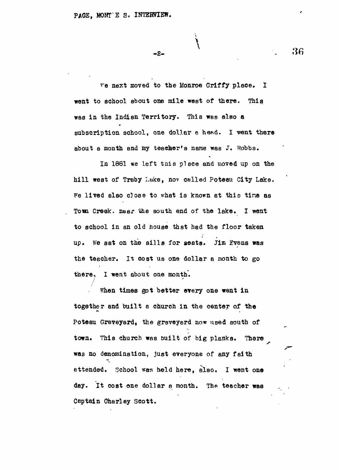**- 2 -**

The next moved to the Monroe Griffy place. I went to school about one mile west of there. This was in the Indian Territory. This was also a subscription school, one dollar a head. I went there about a month snd my teacher's name was J. Robbs.

In 1881 we left tnis place and moved up on the hill west of Traby Lake, nov celled Poteau City Lake. Fe lived also close to what is known at this time as Tom Creek, near the south end of the lake. I went to school in an old house that had the floor taken up. We sat on the sills for seats. Jim Evens was the teacher. It cost us one dollar a month to go there. I went about one month.

When times got better every one went in together and built a church in the center of the Poteau Graveyard, the graveyard now used south of town. This church was built of big planks. There was no denomination, just everyone of any faith attended. School was held here, also. I went one day. It cost one dollar a month. The teacher was Captain Charley Scott.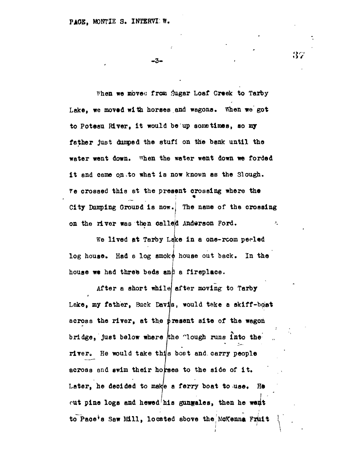**- 3 -**

When we moved from Sugar Loaf Creek to Tarby **Lake, we moved with horses and wagona. fthen we got to Poteau River, it would be up sometimes, so my father just damped the stuff on the bank until the water went down. "hen the water went down we forded i t and came on .to what is now known as the Slough.** *Ye* **crossed this at the present crossing where the City Dumping Ground is now. The name of the crossing on the river was then calleld Anderson Ford.**

**We lived at Tarby Lake in a one-rcom peeled** log house. Had a log smoke house out back. In the house we had three beds and a fireplace.

After a short while after moving to Tarby *4* **I** Lake, my father, Buck Davis, would take a skiff-bost across the river, at the present site of the wagon bridge, just below where the "lough runs into the **rivere He would take this boet and. carry people across and swim their horses to the side of it .** Later, he decided to make a ferry boat to use. He cut pine logs and hewed<sup>t</sup>his gungales, then he went to Pace's Saw Mill, located above the McKenna Fruit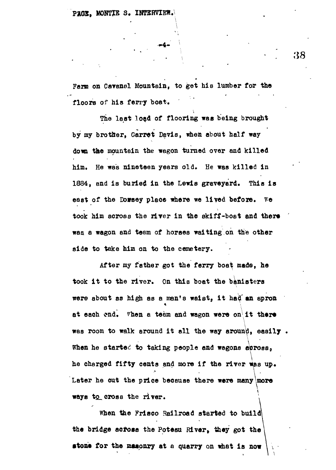**Farm on Cavanel Mountain, to get his lumber for the floors of his ferry boat.**

**The last load of flooring was being brought by my brother, Garret Davis, when about half way dom the mountain the wagon turned over and killed** him. He was nineteen years old. He was killed in 1884, and is buried in the Lewis graveyard. This is east of the Dowsey place where we lived before. We **took him across the river in the skiff-boat and there ' waa a wagon and team of horses waiting on the other side to take him on to the cemetery.**

**After my father got the ferry boat made, he** took it to the river. On this boat the banisters **were about aa high as a nan's waist, i t had'an apron** at each end. When a team and wagon were on it there **\ was room to walk around it all the way arouno, easily .** When he started to taking people and wagons across. he charged fifty cents and more if the river was up. Later he cut the price because there were many more ways to cross the river.

When the Frisco Railroad started to build the bridge across the Potesu River, they got the stone for the masonry at a quarry on what is now

 $\bullet$  **•tone for the mass on what is now that is now the mass of the mass of the mass of the mass of the mass of the mass of the mass of the mass of the mass of the mass of the mass of the mass of the mass of the mass of th**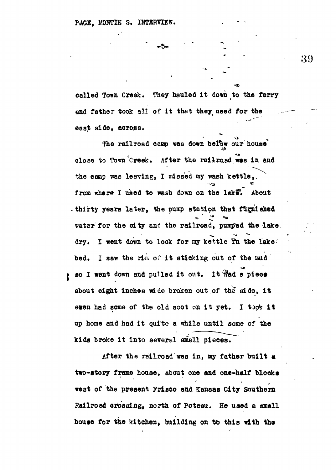**- 6 -**

**celled Town Creek. They hauled it down to the ferry** and father took all of it that they used for the **east side, across.**

The railroad camp was down below our house **close to Town Creek. After the railroad was in and the camp was leaving, I missed my wash kettle,, from where I used to wash down on the lake\*. About thirty years later <sup>9</sup> the pump station that furnished** water for the city and the railroad, pumped the lake. dry. I went down to look for my kettle **In the lake** bed. I saw the rim of it sticking out of the raid **BO I went down and pulled it out. It flad a piece about eight inches wide broken out of the side, i t** exen had some of the old soot on it yet. I took it

**up home and had it quite a while until some of the kids broke it into several small pieces.**

**After the railroad was in, my father built a two-story frame house, about one and one-half blocks west of the present Frisco and Kansas City Southern Railroad crossing, north of Poteau. He used a small house for the kitchen, building on to thie with tha**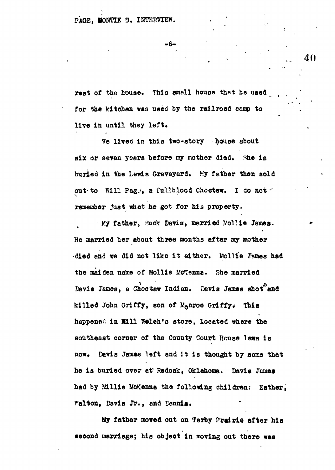#### PAGE. MONTIE S. INTERVIEW.

**. 6 -**

**rest of the house. This smell house that he used for the kitchen was used by the railroad camp to live in until they left.**

**we lived In this two-story house about** six or seven years before my mother died. She is **buried in the Lewis Graveyard. My father then aold out- to Will Pag,», a fullblood Choctew. I do not \* remember Just whet he got for his property.**

**Ky father***<sup>t</sup>*  **Buck Davis, married Wollie James. He married her about three months after my mother •died end we did not like i t either. Molii'e James had the maiden name of Mollie McKenno. She married Davis James, a Choc taw Indian. Davis James shot and** killed John Griffy, son of Manroe Griffy. This happened in Will Welch's store, located where the **southeast corner of the County Court House laws** *in* **now. Devis James left and it is thought by some that he is buried over at<sup>s</sup> Redoak, Oklahoma. Davis James had by fiillie MoKenne the following children: Esther, Walton, Davis Jr., and Dennis.**

My father moved out on Tarby Prairie after his **second marriage; his object in moving out there was**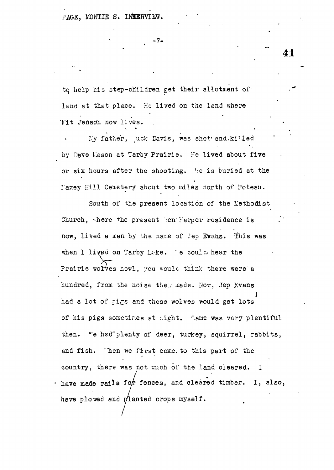PAGE, MONTIE S. INTERVIEW.

**- 7 -**

*tq* help his step-children get their allotment of' lend at that place. He lived on the land where Tit Jenson now lives.

My father, juck Davis, was shot and.killed by Dave Lason at Tarby Prairie. Fe lived about five or six hours after the shooting, he is buried at the laxey Hill Cemetery about two miles north of Poteau.

South of the present location of the L'ethodist Church, where the present ben Harper residence is now, lived a man by the name of Jep Evans. This was when I lived on Tarby Lake. 'e could hear the Prairie wolves howl, you would think there were a hundred, from the noise they made. How, Jep Kvans had a lot of pics and these wolves would get lots of his pigs sometimes at might. Came was very plentiful then. We hed plenty of deer, turkey, souirrel, rabbits, and fish. Then we first came to this part of the country, there was not much of the land cleared. I have made rails for fences, and cleared timber. I, also, have plowed and planted crops myself.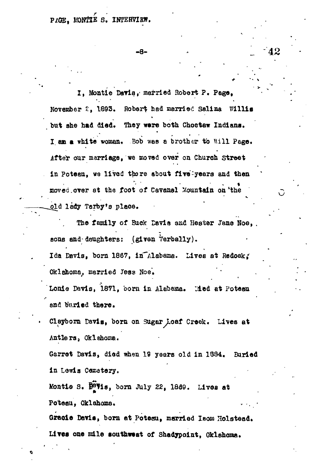# PACE. MONTHE S. INTERVIEW.

**- 8 -**

**I, Montie Davis,- married Robert P. Page, November £, 1893. Robert had married Salina Willia but she had died. They ware both Choctaw Indiana.** I am a white woman. Bob was a brother to Will Page. **After our merriage, we aaowd over on Church Street** in Poteen, we lived there about five-years and then moved over at the foot of Cavanel Mountain on the **lady Tarby»s place.**

**The family of Buck Davis and Hester Jane Hoe, . sons and-daughters: (given Verbally).**

Ida Davis, born 1867, in Alabama. Lives at Redoak, Oklahoma, married Jess Noe.

**Lonie Davis, 1871, born in Alabama. lied at Poteau** and buried there.

**• Clayborn Davia, bom on Sugar Loaf Creek. Lives at Antlersj Oklehome.**

**Garret Davis, died when 19 years old in 13S4. Buried in Lewia Cemetery.**

**Koatie S. gQTia, born July 22, 1859. Lives at** Poteau, Oklahoma.

Gracie Davis, born at Potesu, married Isom Holstead. Lives one mile southwest of Shadypoint, Gklahoma.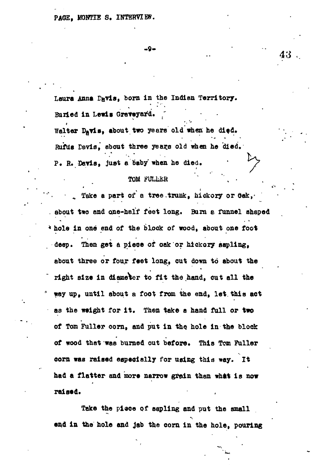Laura Anna Davis, born in the Indian Territory. **Buried in Lewis Graveyard.** Walter Davis, about two years old when he died.

Rufus Davis, about three years old when he died. **P. R. Davis, juat a baby when he died,**

#### TOM FULLER

*Take a part of a tree.trunk, hickory or*  $0e$ *k.* **about two and one-half fee t long . Burn & funnel shaped k** hole in one end of the block of wood, about one foot **deep. Then ge t a piec e of oak o r hickory sapling ,** about three or four feet long, out down to about the **right size in diameter to fit the hand, cut all the tray up, until about a foot from the end, let. this act as the weight for it. Then take a hand full or two of Tom Fuller corn, and put in the. hole in the block of wood that was burned out before. This Tom Fuller corn was raised especially for usifig thia way. Zt had a flatter and more narrow grain than whit is now raised.**

**Take the piace of sapling and put the small and in the hole and jab the corn in the hole, pouring**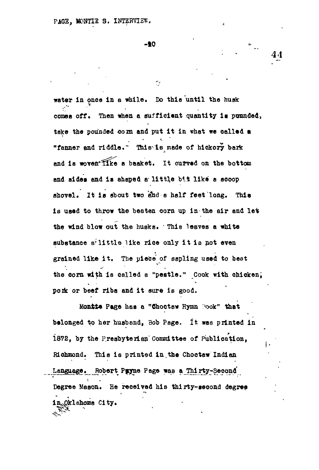**-10**

r.

water in once in a while. Do this until the husk comes off. Then when a sufficient quantity is punnded, take the pounded cora and put it in what we called a "fanner and riddle." This is made of hickory bark **and ia wove&\*<sup>3</sup> ffke a basket, It curved on the bottom** and sides and is ahaped a little bit like a sooop **shovel. It ia about two and a half feet long. This** is used to throw the beaten corn up in the air and let the wind blow out the husks. This leaves a white substance  $B^2$  little like rice only it is not even **grained like it . The piece of sspling used to beat** the corn with is called a "pestle." Cook with chicken; pork or beef ribs and it sure is good.

**Monfct\* Page has a "Choctew Hymn :>ook<sup>n</sup> that belonged to her husband, Bob Page. It was printed in** 1872, by the Presbyterian Committee of Publication, Richmond. This is printed in the Choctaw Indian Language. Robert Puyne Page was a Thirty-Second **Degree Mason. He received his thi rty-second degree** in<sub>x</sub>Qklahoma City.